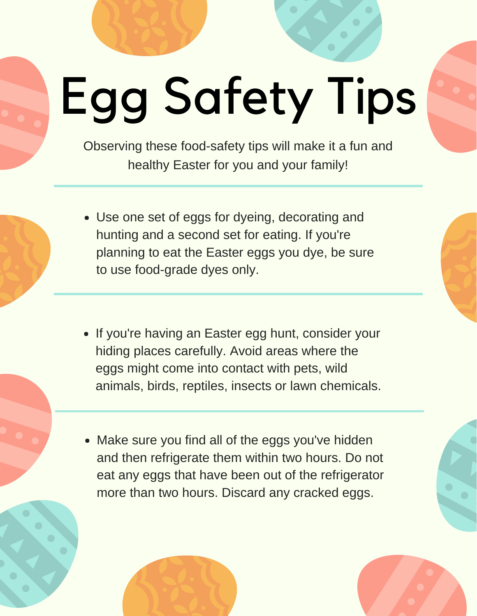## Egg Safety Tips

Observing these food-safety tips will make it a fun and healthy Easter for you and your family!

- Use one set of eggs for dyeing, decorating and hunting and a second set for eating. If you're planning to eat the Easter eggs you dye, be sure to use food-grade dyes only.
- If you're having an Easter egg hunt, consider your hiding places carefully. Avoid areas where the eggs might come into contact with pets, wild animals, birds, reptiles, insects or lawn chemicals.
- Make sure you find all of the eggs you've hidden and then refrigerate them within two hours. Do not eat any eggs that have been out of the refrigerator more than two hours. Discard any cracked eggs.